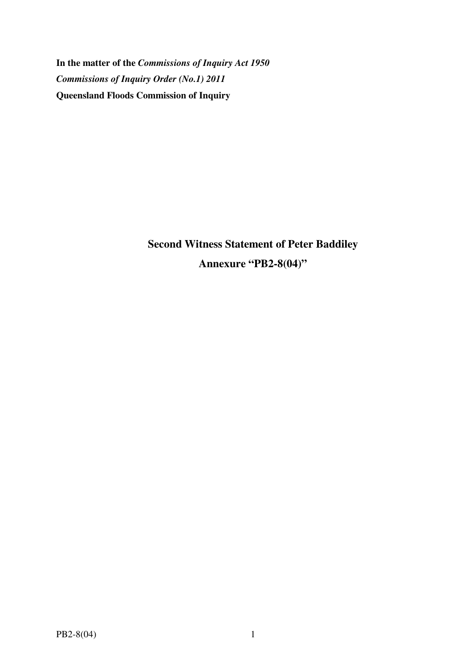**In the matter of the** *Commissions of Inquiry Act 1950 Commissions of Inquiry Order (No.1) 2011* **Queensland Floods Commission of Inquiry** 

> **Second Witness Statement of Peter Baddiley Annexure "PB2-8(04)"**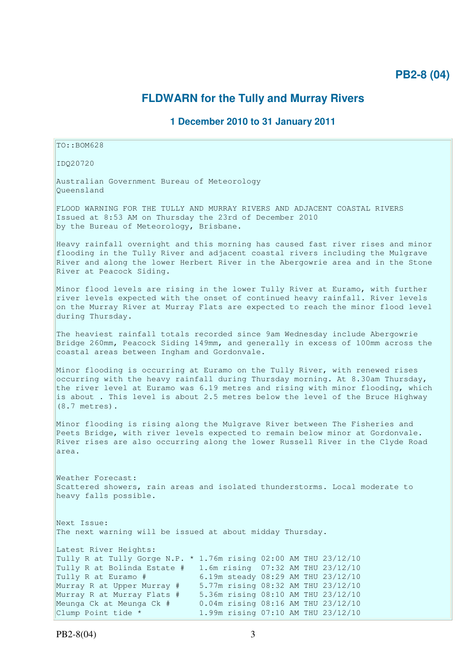# **PB2-8 (04)**

## **FLDWARN for the Tully and Murray Rivers**

### **1 December 2010 to 31 January 2011**

TO::BOM628

IDQ20720

Australian Government Bureau of Meteorology Queensland

FLOOD WARNING FOR THE TULLY AND MURRAY RIVERS AND ADJACENT COASTAL RIVERS Issued at 8:53 AM on Thursday the 23rd of December 2010 by the Bureau of Meteorology, Brisbane.

Heavy rainfall overnight and this morning has caused fast river rises and minor flooding in the Tully River and adjacent coastal rivers including the Mulgrave River and along the lower Herbert River in the Abergowrie area and in the Stone River at Peacock Siding.

Minor flood levels are rising in the lower Tully River at Euramo, with further river levels expected with the onset of continued heavy rainfall. River levels on the Murray River at Murray Flats are expected to reach the minor flood level during Thursday.

The heaviest rainfall totals recorded since 9am Wednesday include Abergowrie Bridge 260mm, Peacock Siding 149mm, and generally in excess of 100mm across the coastal areas between Ingham and Gordonvale.

Minor flooding is occurring at Euramo on the Tully River, with renewed rises occurring with the heavy rainfall during Thursday morning. At 8.30am Thursday, the river level at Euramo was 6.19 metres and rising with minor flooding, which is about . This level is about 2.5 metres below the level of the Bruce Highway (8.7 metres).

Minor flooding is rising along the Mulgrave River between The Fisheries and Peets Bridge, with river levels expected to remain below minor at Gordonvale. River rises are also occurring along the lower Russell River in the Clyde Road area.

Weather Forecast: Scattered showers, rain areas and isolated thunderstorms. Local moderate to heavy falls possible.

Next Issue: The next warning will be issued at about midday Thursday.

Latest River Heights: Tully R at Tully Gorge N.P.  $*$  1.76m rising 02:00 AM THU 23/12/10 Tully R at Bolinda Estate # 1.6m rising 07:32 AM THU 23/12/10 Tully R at Euramo # 6.19m steady 08:29 AM THU 23/12/10 Murray R at Upper Murray # 5.77m rising 08:32 AM THU 23/12/10 Murray R at Murray Flats # 5.36m rising 08:10 AM THU 23/12/10 Meunga Ck at Meunga Ck # 0.04m rising 08:16 AM THU 23/12/10 Clump Point tide \* 1.99m rising 07:10 AM THU 23/12/10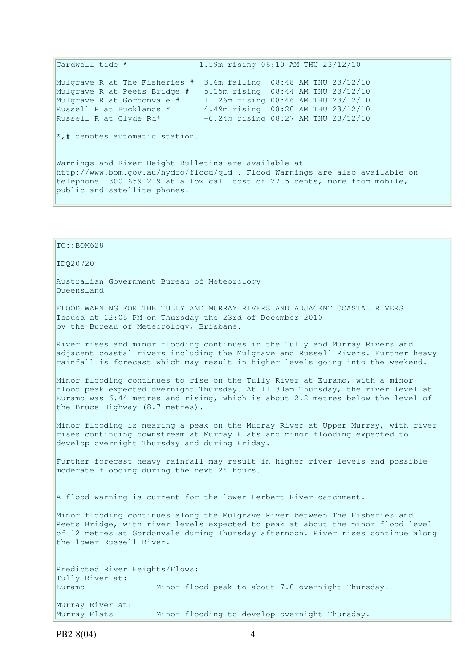Cardwell tide \* 1.59m rising 06:10 AM THU 23/12/10 Mulgrave R at The Fisheries # 3.6m falling 08:48 AM THU 23/12/10 Mulgrave R at Peets Bridge # 5.15m rising 08:44 AM THU 23/12/10 Mulgrave R at Gordonvale # 11.26m rising 08:46 AM THU 23/12/10 Russell R at Bucklands \* 4.49m rising 08:20 AM THU 23/12/10 Ruigiave R at Gordonvare "<br>Russell R at Bucklands \* " 4.49m rising 08:20 AM THU 23/12/10<br>Russell R at Clyde Rd# -0.24m rising 08:27 AM THU 23/12/10  $\star$ ,# denotes automatic station.

Warnings and River Height Bulletins are available at http://www.bom.gov.au/hydro/flood/qld . Flood Warnings are also available on telephone 1300 659 219 at a low call cost of 27.5 cents, more from mobile, public and satellite phones.

TO::BOM628 IDQ20720 Australian Government Bureau of Meteorology Queensland FLOOD WARNING FOR THE TULLY AND MURRAY RIVERS AND ADJACENT COASTAL RIVERS Issued at 12:05 PM on Thursday the 23rd of December 2010 by the Bureau of Meteorology, Brisbane. River rises and minor flooding continues in the Tully and Murray Rivers and adjacent coastal rivers including the Mulgrave and Russell Rivers. Further heavy rainfall is forecast which may result in higher levels going into the weekend. Minor flooding continues to rise on the Tully River at Euramo, with a minor flood peak expected overnight Thursday. At 11.30am Thursday, the river level at Euramo was 6.44 metres and rising, which is about 2.2 metres below the level of the Bruce Highway (8.7 metres). Minor flooding is nearing a peak on the Murray River at Upper Murray, with river rises continuing downstream at Murray Flats and minor flooding expected to develop overnight Thursday and during Friday. Further forecast heavy rainfall may result in higher river levels and possible moderate flooding during the next 24 hours. A flood warning is current for the lower Herbert River catchment. Minor flooding continues along the Mulgrave River between The Fisheries and Peets Bridge, with river levels expected to peak at about the minor flood level of 12 metres at Gordonvale during Thursday afternoon. River rises continue along the lower Russell River. Predicted River Heights/Flows: Tully River at: Euramo Minor flood peak to about 7.0 overnight Thursday. Murray River at: Murray Flats Minor flooding to develop overnight Thursday.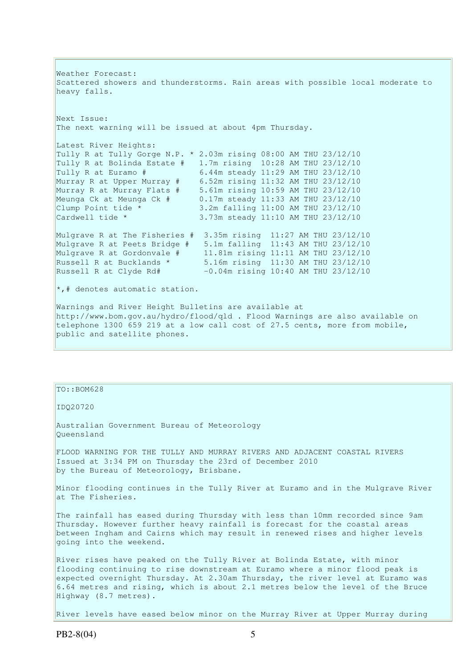Weather Forecast: Scattered showers and thunderstorms. Rain areas with possible local moderate to heavy falls. Next Issue: The next warning will be issued at about 4pm Thursday. Latest River Heights: Tully R at Tully Gorge N.P.  $*$  2.03m rising 08:00 AM THU 23/12/10 Tully R at Bolinda Estate  $\#$  1.7m rising 10:28 AM THU 23/12/10<br>Tully R at Euramo  $\#$  6.44m steady 11:29 AM THU 23/12/10 Tully R at Euramo # 6.44m steady 11:29 AM THU 23/12/10 Murray R at Upper Murray # 6.52m rising 11:32 AM THU 23/12/10 Murray R at Murray Flats # 5.61m rising 10:59 AM THU 23/12/10 Meunga Ck at Meunga Ck # 0.17m steady 11:33 AM THU 23/12/10 Clump Point tide \* 3.2m falling 11:00 AM THU 23/12/10 Cardwell tide \* 3.73m steady 11:10 AM THU 23/12/10 Mulgrave R at The Fisheries # 3.35m rising 11:27 AM THU 23/12/10 Mulgrave R at Peets Bridge # 5.1m falling 11:43 AM THU 23/12/10 Mulgrave R at Gordonvale # 11.81m rising 11:11 AM THU 23/12/10 Russell R at Bucklands \* 5.16m rising 11:30 AM THU 23/12/10 Russell R at Clyde Rd# -0.04m rising 10:40 AM THU 23/12/10  $\star$ ,# denotes automatic station. Warnings and River Height Bulletins are available at http://www.bom.gov.au/hydro/flood/qld . Flood Warnings are also available on telephone 1300 659 219 at a low call cost of 27.5 cents, more from mobile, public and satellite phones.

### TO::BOM628

IDQ20720

Australian Government Bureau of Meteorology Queensland

FLOOD WARNING FOR THE TULLY AND MURRAY RIVERS AND ADJACENT COASTAL RIVERS Issued at 3:34 PM on Thursday the 23rd of December 2010 by the Bureau of Meteorology, Brisbane.

Minor flooding continues in the Tully River at Euramo and in the Mulgrave River at The Fisheries.

The rainfall has eased during Thursday with less than 10mm recorded since 9am Thursday. However further heavy rainfall is forecast for the coastal areas between Ingham and Cairns which may result in renewed rises and higher levels going into the weekend.

River rises have peaked on the Tully River at Bolinda Estate, with minor flooding continuing to rise downstream at Euramo where a minor flood peak is expected overnight Thursday. At 2.30am Thursday, the river level at Euramo was 6.64 metres and rising, which is about 2.1 metres below the level of the Bruce Highway (8.7 metres).

River levels have eased below minor on the Murray River at Upper Murray during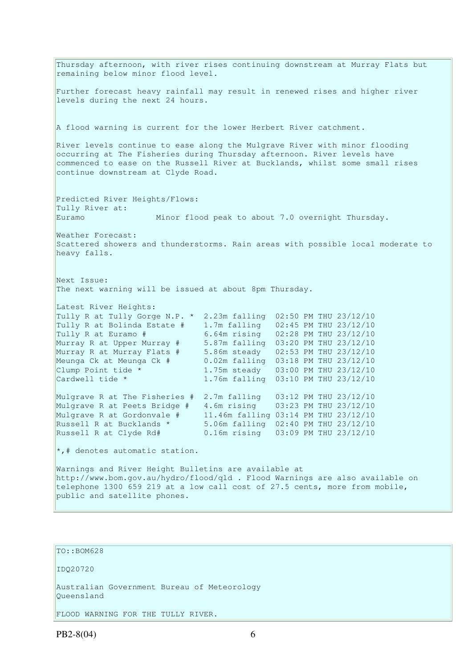Thursday afternoon, with river rises continuing downstream at Murray Flats but remaining below minor flood level. Further forecast heavy rainfall may result in renewed rises and higher river levels during the next 24 hours. A flood warning is current for the lower Herbert River catchment. River levels continue to ease along the Mulgrave River with minor flooding occurring at The Fisheries during Thursday afternoon. River levels have commenced to ease on the Russell River at Bucklands, whilst some small rises continue downstream at Clyde Road. Predicted River Heights/Flows: Tully River at: Euramo Minor flood peak to about 7.0 overnight Thursday. Weather Forecast: Scattered showers and thunderstorms. Rain areas with possible local moderate to heavy falls. Next Issue: The next warning will be issued at about 8pm Thursday. Latest River Heights: Tully R at Tully Gorge N.P. \* 2.23m falling 02:50 PM THU 23/12/10 Tully R at Bolinda Estate # 1.7m falling 02:45 PM THU 23/12/10 Tully R at Euramo # 6.64m rising 02:28 PM THU 23/12/10 Murray R at Upper Murray # 5.87m falling 03:20 PM THU 23/12/10 Murray R at Murray Flats # 5.86m steady 02:53 PM THU 23/12/10 Meunga Ck at Meunga Ck # 0.02m falling 03:18 PM THU 23/12/10 Clump Point tide \* 1.75m steady 03:00 PM THU 23/12/10 Cardwell tide \* 1.76m falling 03:10 PM THU 23/12/10 Mulgrave R at The Fisheries # 2.7m falling 03:12 PM THU 23/12/10 Mulgrave R at Peets Bridge # 4.6m rising 03:23 PM THU 23/12/10 Mulgrave R at Gordonvale # 11.46m falling 03:14 PM THU 23/12/10 Russell R at Bucklands \* 5.06m falling 02:40 PM THU 23/12/10 Russell R at Clyde Rd# 0.16m rising 03:09 PM THU 23/12/10  $\star$ ,# denotes automatic station. Warnings and River Height Bulletins are available at http://www.bom.gov.au/hydro/flood/qld . Flood Warnings are also available on telephone 1300 659 219 at a low call cost of 27.5 cents, more from mobile, public and satellite phones.

TO::BOM628

IDQ20720

Australian Government Bureau of Meteorology Queensland

FLOOD WARNING FOR THE TULLY RIVER.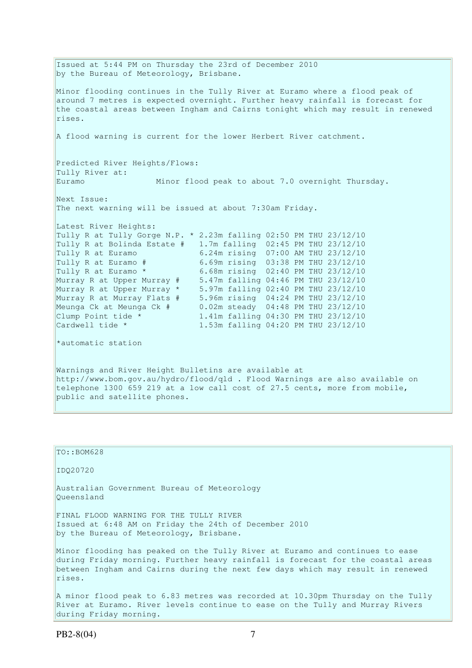Issued at 5:44 PM on Thursday the 23rd of December 2010 by the Bureau of Meteorology, Brisbane. Minor flooding continues in the Tully River at Euramo where a flood peak of around 7 metres is expected overnight. Further heavy rainfall is forecast for the coastal areas between Ingham and Cairns tonight which may result in renewed rises. A flood warning is current for the lower Herbert River catchment. Predicted River Heights/Flows: Tully River at: Euramo Minor flood peak to about 7.0 overnight Thursday. Next Issue: The next warning will be issued at about 7:30am Friday. Latest River Heights: Tully R at Tully Gorge N.P. \* 2.23m falling 02:50 PM THU 23/12/10 Tully R at Bolinda Estate # 1.7m falling 02:45 PM THU 23/12/10 Tully R at Euramo 6.24m rising 07:00 AM THU 23/12/10 Tully R at Euramo # 6.69m rising 03:38 PM THU 23/12/10 Tully R at Euramo \* 6.68m rising 02:40 PM THU 23/12/10 Murray R at Upper Murray # 5.47m falling 04:46 PM THU 23/12/10 Murray R at Upper Murray \* 5.97m falling 02:40 PM THU 23/12/10 Murray R at Murray Flats # 5.96m rising 04:24 PM THU 23/12/10 Meunga Ck at Meunga Ck # 0.02m steady 04:48 PM THU 23/12/10 Clump Point tide \* 1.41m falling 04:30 PM THU 23/12/10 Cardwell tide \* 1.53m falling 04:20 PM THU 23/12/10 \*automatic station Warnings and River Height Bulletins are available at http://www.bom.gov.au/hydro/flood/qld . Flood Warnings are also available on telephone 1300 659 219 at a low call cost of 27.5 cents, more from mobile, public and satellite phones.

TO::BOM628 IDQ20720 Australian Government Bureau of Meteorology Queensland FINAL FLOOD WARNING FOR THE TULLY RIVER Issued at 6:48 AM on Friday the 24th of December 2010 by the Bureau of Meteorology, Brisbane. Minor flooding has peaked on the Tully River at Euramo and continues to ease during Friday morning. Further heavy rainfall is forecast for the coastal areas between Ingham and Cairns during the next few days which may result in renewed rises. A minor flood peak to 6.83 metres was recorded at 10.30pm Thursday on the Tully River at Euramo. River levels continue to ease on the Tully and Murray Rivers during Friday morning.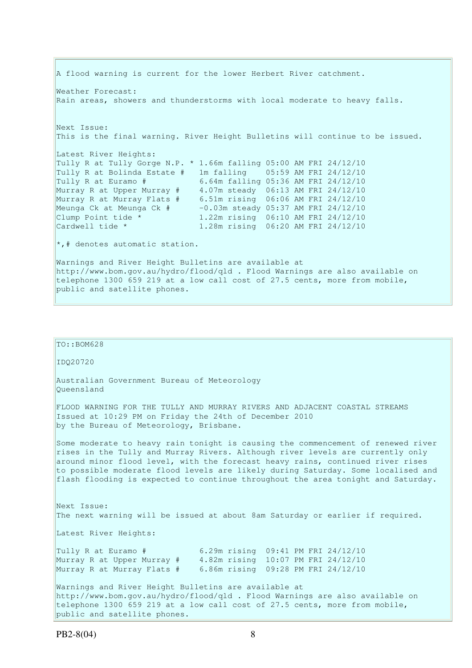A flood warning is current for the lower Herbert River catchment. Weather Forecast: Rain areas, showers and thunderstorms with local moderate to heavy falls. Next Issue: This is the final warning. River Height Bulletins will continue to be issued. Latest River Heights: Tully R at Tully Gorge N.P. \* 1.66m falling 05:00 AM FRI 24/12/10 Tully R at Bolinda Estate # 1m falling 05:59 AM FRI 24/12/10 Tully R at Euramo # 6.64m falling 05:36 AM FRI 24/12/10 Murray R at Upper Murray # 4.07m steady 06:13 AM FRI 24/12/10 Murray R at Murray Flats # 6.51m rising 06:06 AM FRI 24/12/10 Meunga Ck at Meunga Ck # -0.03m steady 05:37 AM FRI 24/12/10 Clump Point tide \* 1.22m rising 06:10 AM FRI 24/12/10 Cardwell tide \* 1.28m rising 06:20 AM FRI 24/12/10 \*,# denotes automatic station. Warnings and River Height Bulletins are available at http://www.bom.gov.au/hydro/flood/qld . Flood Warnings are also available on telephone 1300 659 219 at a low call cost of 27.5 cents, more from mobile, public and satellite phones.

| $TO: BOM628$                                                                                                                                                                                                                                                                                                                                                                                                                 |
|------------------------------------------------------------------------------------------------------------------------------------------------------------------------------------------------------------------------------------------------------------------------------------------------------------------------------------------------------------------------------------------------------------------------------|
| ID020720                                                                                                                                                                                                                                                                                                                                                                                                                     |
| Australian Government Bureau of Meteorology<br>Oueensland                                                                                                                                                                                                                                                                                                                                                                    |
| FLOOD WARNING FOR THE TULLY AND MURRAY RIVERS AND ADJACENT COASTAL STREAMS<br>Issued at 10:29 PM on Friday the 24th of December 2010<br>by the Bureau of Meteorology, Brisbane.                                                                                                                                                                                                                                              |
| Some moderate to heavy rain tonight is causing the commencement of renewed river<br>rises in the Tully and Murray Rivers. Although river levels are currently only<br>around minor flood level, with the forecast heavy rains, continued river rises<br>to possible moderate flood levels are likely during Saturday. Some localised and<br>flash flooding is expected to continue throughout the area tonight and Saturday. |
| Next Issue:<br>The next warning will be issued at about 8am Saturday or earlier if required.                                                                                                                                                                                                                                                                                                                                 |
| Latest River Heights:                                                                                                                                                                                                                                                                                                                                                                                                        |
| Tully R at Euramo # 6.29m rising 09:41 PM FRI 24/12/10<br>Murray R at Upper Murray # 4.82m rising 10:07 PM FRI 24/12/10<br>Murray R at Murray Flats # 6.86m rising 09:28 PM FRI 24/12/10                                                                                                                                                                                                                                     |
| Warnings and River Height Bulletins are available at<br>http://www.bom.gov.au/hydro/flood/qld . Flood Warnings are also available on<br>telephone 1300 659 219 at a low call cost of 27.5 cents, more from mobile,<br>public and satellite phones.                                                                                                                                                                           |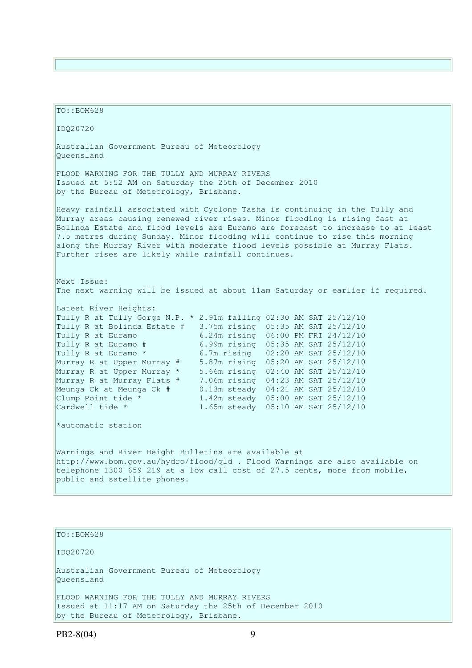TO::BOM628 IDQ20720 Australian Government Bureau of Meteorology Queensland FLOOD WARNING FOR THE TULLY AND MURRAY RIVERS Issued at 5:52 AM on Saturday the 25th of December 2010 by the Bureau of Meteorology, Brisbane. Heavy rainfall associated with Cyclone Tasha is continuing in the Tully and Murray areas causing renewed river rises. Minor flooding is rising fast at Bolinda Estate and flood levels are Euramo are forecast to increase to at least 7.5 metres during Sunday. Minor flooding will continue to rise this morning along the Murray River with moderate flood levels possible at Murray Flats. Further rises are likely while rainfall continues. Next Issue: The next warning will be issued at about 11am Saturday or earlier if required. Latest River Heights: Tully R at Tully Gorge N.P. \* 2.91m falling 02:30 AM SAT 25/12/10 Tully R at Bolinda Estate # 3.75m rising 05:35 AM SAT 25/12/10 Tully R at Euramo 6.24m rising 06:00 PM FRI 24/12/10 Tully R at Euramo # 6.99m rising 05:35 AM SAT 25/12/10 Tully R at Euramo \* 6.7m rising 02:20 AM SAT 25/12/10 Murray R at Upper Murray # 5.87m rising 05:20 AM SAT 25/12/10 Murray R at Upper Murray \* 5.66m rising 02:40 AM SAT 25/12/10 Murray R at Murray Flats # 7.06m rising 04:23 AM SAT 25/12/10 Meunga Ck at Meunga Ck # 0.13m steady 04:21 AM SAT 25/12/10 Clump Point tide \* 1.42m steady 05:00 AM SAT 25/12/10 Cardwell tide \* 1.65m steady 05:10 AM SAT 25/12/10 \*automatic station Warnings and River Height Bulletins are available at http://www.bom.gov.au/hydro/flood/qld . Flood Warnings are also available on telephone 1300 659 219 at a low call cost of 27.5 cents, more from mobile, public and satellite phones.

TO::BOM628

IDQ20720

Australian Government Bureau of Meteorology Queensland

FLOOD WARNING FOR THE TULLY AND MURRAY RIVERS Issued at 11:17 AM on Saturday the 25th of December 2010 by the Bureau of Meteorology, Brisbane.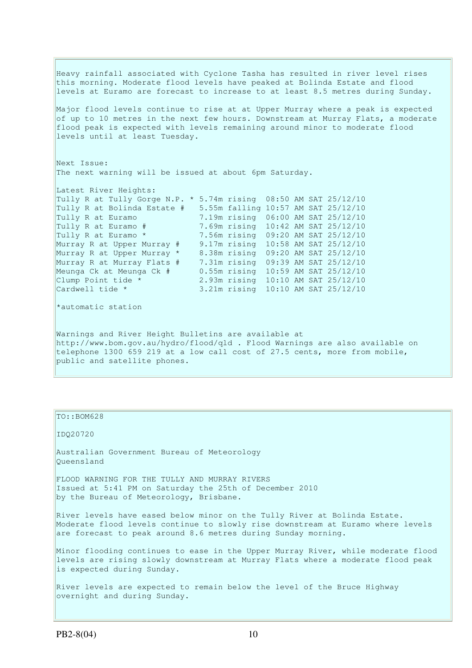Heavy rainfall associated with Cyclone Tasha has resulted in river level rises this morning. Moderate flood levels have peaked at Bolinda Estate and flood levels at Euramo are forecast to increase to at least 8.5 metres during Sunday. Major flood levels continue to rise at at Upper Murray where a peak is expected of up to 10 metres in the next few hours. Downstream at Murray Flats, a moderate flood peak is expected with levels remaining around minor to moderate flood levels until at least Tuesday. Next Issue: The next warning will be issued at about 6pm Saturday. Latest River Heights: Tully R at Tully Gorge N.P. \* 5.74m rising 08:50 AM SAT 25/12/10 Tully R at Bolinda Estate # 5.55m falling 10:57 AM SAT 25/12/10 Tully R at Euramo 7.19m rising 06:00 AM SAT 25/12/10<br>Tully R at Euramo # 7.69m rising 10:42 AM SAT 25/12/10 Tully R at Euramo # 7.69m rising 10:42 AM SAT 25/12/10 Tully R at Euramo \* 7.56m rising 09:20 AM SAT 25/12/10 Murray R at Upper Murray # 9.17m rising 10:58 AM SAT 25/12/10 Murray R at Upper Murray \* 8.38m rising 09:20 AM SAT 25/12/10 Murray R at Murray Flats # 7.31m rising 09:39 AM SAT 25/12/10 Meunga Ck at Meunga Ck # 0.55m rising 10:59 AM SAT 25/12/10 Clump Point tide \* 2.93m rising 10:10 AM SAT 25/12/10 Cardwell tide \* 3.21m rising 10:10 AM SAT 25/12/10 \*automatic station Warnings and River Height Bulletins are available at http://www.bom.gov.au/hydro/flood/qld . Flood Warnings are also available on telephone 1300 659 219 at a low call cost of 27.5 cents, more from mobile,

#### public and satellite phones.

#### TO::BOM628

IDQ20720

Australian Government Bureau of Meteorology Queensland

FLOOD WARNING FOR THE TULLY AND MURRAY RIVERS Issued at 5:41 PM on Saturday the 25th of December 2010 by the Bureau of Meteorology, Brisbane.

River levels have eased below minor on the Tully River at Bolinda Estate. Moderate flood levels continue to slowly rise downstream at Euramo where levels are forecast to peak around 8.6 metres during Sunday morning.

Minor flooding continues to ease in the Upper Murray River, while moderate flood levels are rising slowly downstream at Murray Flats where a moderate flood peak is expected during Sunday.

River levels are expected to remain below the level of the Bruce Highway overnight and during Sunday.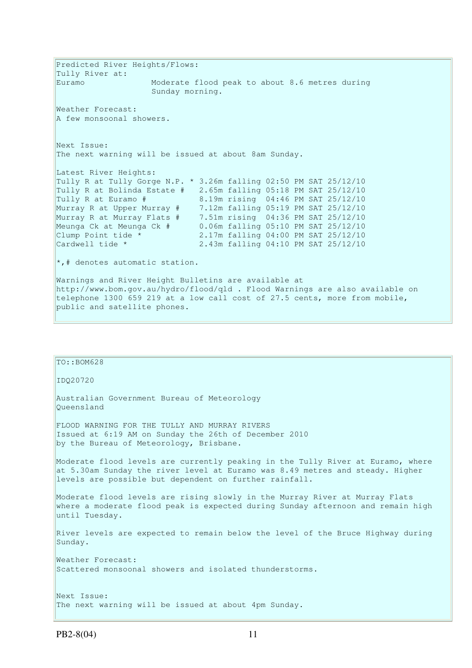Predicted River Heights/Flows: Tully River at: Euramo Moderate flood peak to about 8.6 metres during Sunday morning. Weather Forecast: A few monsoonal showers. Next Issue: The next warning will be issued at about 8am Sunday. Latest River Heights: Tully R at Tully Gorge N.P. \* 3.26m falling 02:50 PM SAT 25/12/10 Tully R at Bolinda Estate # 2.65m falling 05:18 PM SAT 25/12/10 Tully R at Euramo # 8.19m rising 04:46 PM SAT 25/12/10 Murray R at Upper Murray # 7.12m falling 05:19 PM SAT 25/12/10 Murray R at Murray Flats # 7.51m rising 04:36 PM SAT 25/12/10 Meunga Ck at Meunga Ck # 0.06m falling 05:10 PM SAT 25/12/10 Clump Point tide  $*$  2.17m falling 04:00 PM SAT 25/12/10 Cardwell tide \* 2.43m falling 04:10 PM SAT 25/12/10  $\star$ ,# denotes automatic station. Warnings and River Height Bulletins are available at http://www.bom.gov.au/hydro/flood/qld . Flood Warnings are also available on telephone 1300 659 219 at a low call cost of 27.5 cents, more from mobile, public and satellite phones.

| $TO: BOM628$                                                                                                                                                                                                               |
|----------------------------------------------------------------------------------------------------------------------------------------------------------------------------------------------------------------------------|
| ID020720                                                                                                                                                                                                                   |
| Australian Government Bureau of Meteorology<br>Oueensland                                                                                                                                                                  |
| FLOOD WARNING FOR THE TULLY AND MURRAY RIVERS<br>Issued at 6:19 AM on Sunday the 26th of December 2010<br>by the Bureau of Meteorology, Brisbane.                                                                          |
| Moderate flood levels are currently peaking in the Tully River at Euramo, where<br>at 5.30am Sunday the river level at Euramo was 8.49 metres and steady. Higher<br>levels are possible but dependent on further rainfall. |
| Moderate flood levels are rising slowly in the Murray River at Murray Flats<br>where a moderate flood peak is expected during Sunday afternoon and remain high<br>until Tuesday.                                           |
| River levels are expected to remain below the level of the Bruce Highway during<br>Sunday.                                                                                                                                 |
| Weather Forecast:<br>Scattered monsoonal showers and isolated thunderstorms.                                                                                                                                               |
| Next Issue:<br>The next warning will be issued at about 4pm Sunday.                                                                                                                                                        |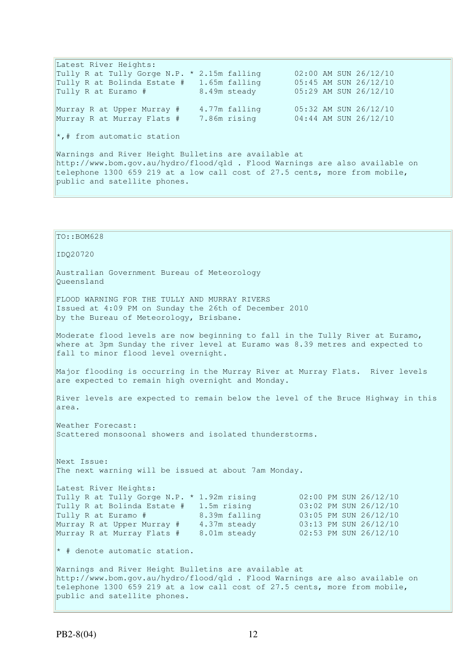Latest River Heights: Tully R at Tully Gorge N.P. \* 2.15m falling  $02:00$  AM SUN 26/12/10<br>Tully R at Bolinda Estate # 1.65m falling  $05:45$  AM SUN 26/12/10 Tully R at Bolinda Estate  $#$  1.65m falling Tully R at Euramo # 8.49m steady 05:29 AM SUN 26/12/10 Murray R at Upper Murray # 4.77m falling 05:32 AM SUN 26/12/10 Murray R at Murray Flats # 7.86m rising 04:44 AM SUN 26/12/10 \*,# from automatic station Warnings and River Height Bulletins are available at http://www.bom.gov.au/hydro/flood/qld . Flood Warnings are also available on telephone 1300 659 219 at a low call cost of 27.5 cents, more from mobile,

public and satellite phones.

```
TO::BOM628 
IDQ20720 
Australian Government Bureau of Meteorology 
Queensland 
FLOOD WARNING FOR THE TULLY AND MURRAY RIVERS 
Issued at 4:09 PM on Sunday the 26th of December 2010 
by the Bureau of Meteorology, Brisbane.
Moderate flood levels are now beginning to fall in the Tully River at Euramo, 
where at 3pm Sunday the river level at Euramo was 8.39 metres and expected to 
fall to minor flood level overnight. 
Major flooding is occurring in the Murray River at Murray Flats. River levels 
are expected to remain high overnight and Monday.
River levels are expected to remain below the level of the Bruce Highway in this 
area. 
Weather Forecast: 
Scattered monsoonal showers and isolated thunderstorms. 
Next Issue: 
The next warning will be issued at about 7am Monday. 
Latest River Heights: 
Latest Kiver Heights:<br>Tully R at Tully Gorge N.P. * 1.92m rising 02:00 PM SUN 26/12/10
Tully R at Bolinda Estate # 1.5m rising 03:02 PM SUN 26/12/10 
Tully R at Euramo # 8.39m falling 03:05 PM SUN 26/12/10 
Murray R at Upper Murray # 4.37m steady 03:13 PM SUN 26/12/10 
Murray R at Murray Flats # 8.01m steady 02:53 PM SUN 26/12/10 
* # denote automatic station.
Warnings and River Height Bulletins are available at 
http://www.bom.gov.au/hydro/flood/qld . Flood Warnings are also available on 
telephone 1300 659 219 at a low call cost of 27.5 cents, more from mobile, 
public and satellite phones.
```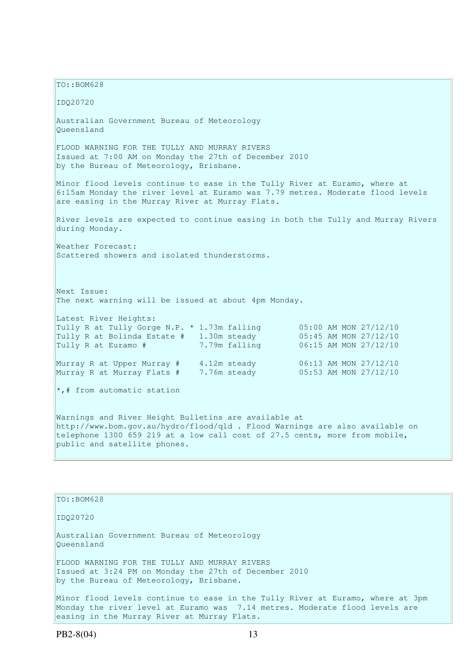TO::BOM628 IDQ20720 Australian Government Bureau of Meteorology Queensland FLOOD WARNING FOR THE TULLY AND MURRAY RIVERS Issued at 7:00 AM on Monday the 27th of December 2010 by the Bureau of Meteorology, Brisbane. Minor flood levels continue to ease in the Tully River at Euramo, where at 6:15am Monday the river level at Euramo was 7.79 metres. Moderate flood levels are easing in the Murray River at Murray Flats. River levels are expected to continue easing in both the Tully and Murray Rivers during Monday. Weather Forecast: Scattered showers and isolated thunderstorms. Next Issue: The next warning will be issued at about 4pm Monday. Latest River Heights: Tully R at Tully Gorge N.P.  $*$  1.73m falling 05:00 AM MON 27/12/10 Tully R at Bolinda Estate  $# 1.30$ m steady  $05:45$  AM MON  $27/12/10$ Tully R at Euramo # 7.79m falling 06:15 AM MON 27/12/10 Murray R at Upper Murray # 4.12m steady 06:13 AM MON 27/12/10 Murray R at Murray Flats # 7.76m steady 05:53 AM MON 27/12/10  $\star$ ,# from automatic station Warnings and River Height Bulletins are available at http://www.bom.gov.au/hydro/flood/qld . Flood Warnings are also available on telephone 1300 659 219 at a low call cost of 27.5 cents, more from mobile, public and satellite phones.

TO::BOM628 IDQ20720 Australian Government Bureau of Meteorology Queensland FLOOD WARNING FOR THE TULLY AND MURRAY RIVERS Issued at 3:24 PM on Monday the 27th of December 2010 by the Bureau of Meteorology, Brisbane. Minor flood levels continue to ease in the Tully River at Euramo, where at 3pm Monday the river level at Euramo was 7.14 metres. Moderate flood levels are easing in the Murray River at Murray Flats.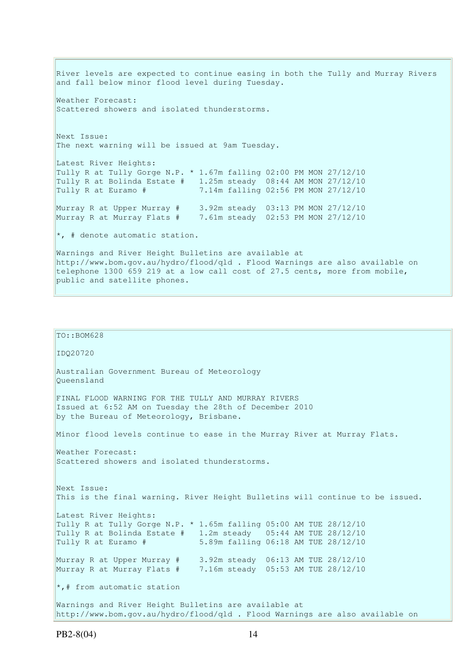River levels are expected to continue easing in both the Tully and Murray Rivers and fall below minor flood level during Tuesday. Weather Forecast: Scattered showers and isolated thunderstorms. Next Issue: The next warning will be issued at 9am Tuesday. Latest River Heights: Tully R at Tully Gorge N.P. \* 1.67m falling 02:00 PM MON 27/12/10 Tully R at Bolinda Estate # 1.25m steady 08:44 AM MON 27/12/10 Tully R at Euramo # 7.14m falling 02:56 PM MON 27/12/10 Murray R at Upper Murray # 3.92m steady 03:13 PM MON 27/12/10 Murray R at Murray Flats # 7.61m steady 02:53 PM MON 27/12/10  $*$ , # denote automatic station. Warnings and River Height Bulletins are available at http://www.bom.gov.au/hydro/flood/qld . Flood Warnings are also available on telephone 1300 659 219 at a low call cost of 27.5 cents, more from mobile, public and satellite phones.

```
TO::BOM628
IDQ20720 
Australian Government Bureau of Meteorology 
Queensland 
FINAL FLOOD WARNING FOR THE TULLY AND MURRAY RIVERS 
Issued at 6:52 AM on Tuesday the 28th of December 2010 
by the Bureau of Meteorology, Brisbane.
Minor flood levels continue to ease in the Murray River at Murray Flats. 
Weather Forecast: 
Scattered showers and isolated thunderstorms.
Next Issue: 
This is the final warning. River Height Bulletins will continue to be issued. 
Latest River Heights: 
Tully R at Tully Gorge N.P. * 1.65m falling 05:00 AM TUE 28/12/10 
Tully R at Bolinda Estate # 1.2m steady 05:44 AM TUE 28/12/10 
Tully R at Euramo # 5.89m falling 06:18 AM TUE 28/12/10 
Murray R at Upper Murray # 3.92m steady 06:13 AM TUE 28/12/10 
Murray R at Murray Flats # 7.16m steady 05:53 AM TUE 28/12/10 
\star,# from automatic station
Warnings and River Height Bulletins are available at 
http://www.bom.gov.au/hydro/flood/qld . Flood Warnings are also available on
```